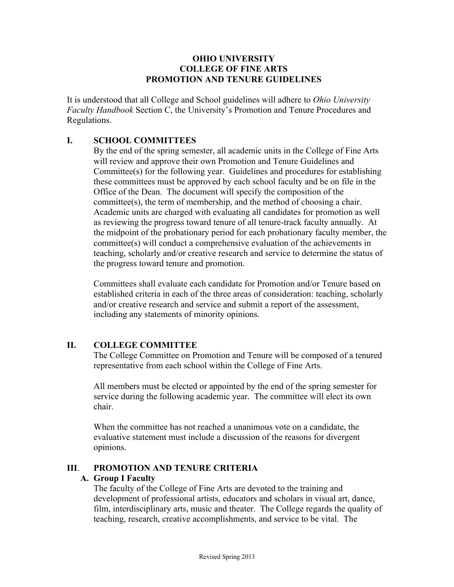#### **OHIO UNIVERSITY COLLEGE OF FINE ARTS PROMOTION AND TENURE GUIDELINES**

It is understood that all College and School guidelines will adhere to *Ohio University Faculty Handbook* Section C, the University's Promotion and Tenure Procedures and Regulations.

### **I. SCHOOL COMMITTEES**

By the end of the spring semester, all academic units in the College of Fine Arts will review and approve their own Promotion and Tenure Guidelines and Committee(s) for the following year. Guidelines and procedures for establishing these committees must be approved by each school faculty and be on file in the Office of the Dean. The document will specify the composition of the committee(s), the term of membership, and the method of choosing a chair. Academic units are charged with evaluating all candidates for promotion as well as reviewing the progress toward tenure of all tenure-track faculty annually. At the midpoint of the probationary period for each probationary faculty member, the committee(s) will conduct a comprehensive evaluation of the achievements in teaching, scholarly and/or creative research and service to determine the status of the progress toward tenure and promotion.

Committees shall evaluate each candidate for Promotion and/or Tenure based on established criteria in each of the three areas of consideration: teaching, scholarly and/or creative research and service and submit a report of the assessment, including any statements of minority opinions.

# **II. COLLEGE COMMITTEE**

The College Committee on Promotion and Tenure will be composed of a tenured representative from each school within the College of Fine Arts.

All members must be elected or appointed by the end of the spring semester for service during the following academic year. The committee will elect its own chair.

When the committee has not reached a unanimous vote on a candidate, the evaluative statement must include a discussion of the reasons for divergent opinions.

#### **III**. **PROMOTION AND TENURE CRITERIA**

#### **A. Group I Faculty**

The faculty of the College of Fine Arts are devoted to the training and development of professional artists, educators and scholars in visual art, dance, film, interdisciplinary arts, music and theater. The College regards the quality of teaching, research, creative accomplishments, and service to be vital. The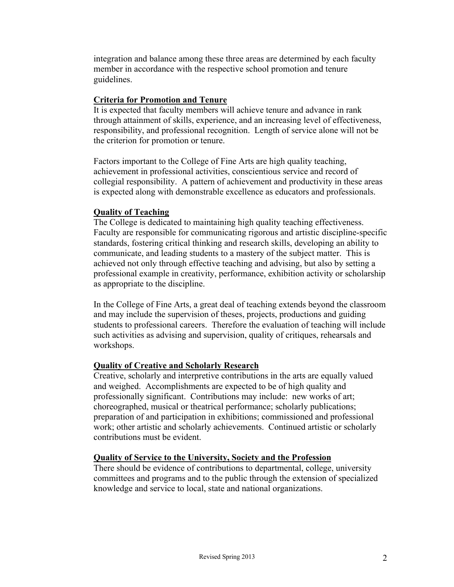integration and balance among these three areas are determined by each faculty member in accordance with the respective school promotion and tenure guidelines.

### **Criteria for Promotion and Tenure**

It is expected that faculty members will achieve tenure and advance in rank through attainment of skills, experience, and an increasing level of effectiveness, responsibility, and professional recognition. Length of service alone will not be the criterion for promotion or tenure.

Factors important to the College of Fine Arts are high quality teaching, achievement in professional activities, conscientious service and record of collegial responsibility. A pattern of achievement and productivity in these areas is expected along with demonstrable excellence as educators and professionals.

#### **Quality of Teaching**

The College is dedicated to maintaining high quality teaching effectiveness. Faculty are responsible for communicating rigorous and artistic discipline-specific standards, fostering critical thinking and research skills, developing an ability to communicate, and leading students to a mastery of the subject matter. This is achieved not only through effective teaching and advising, but also by setting a professional example in creativity, performance, exhibition activity or scholarship as appropriate to the discipline.

In the College of Fine Arts, a great deal of teaching extends beyond the classroom and may include the supervision of theses, projects, productions and guiding students to professional careers. Therefore the evaluation of teaching will include such activities as advising and supervision, quality of critiques, rehearsals and workshops.

# **Quality of Creative and Scholarly Research**

Creative, scholarly and interpretive contributions in the arts are equally valued and weighed. Accomplishments are expected to be of high quality and professionally significant. Contributions may include: new works of art; choreographed, musical or theatrical performance; scholarly publications; preparation of and participation in exhibitions; commissioned and professional work; other artistic and scholarly achievements. Continued artistic or scholarly contributions must be evident.

#### **Quality of Service to the University, Society and the Profession**

There should be evidence of contributions to departmental, college, university committees and programs and to the public through the extension of specialized knowledge and service to local, state and national organizations.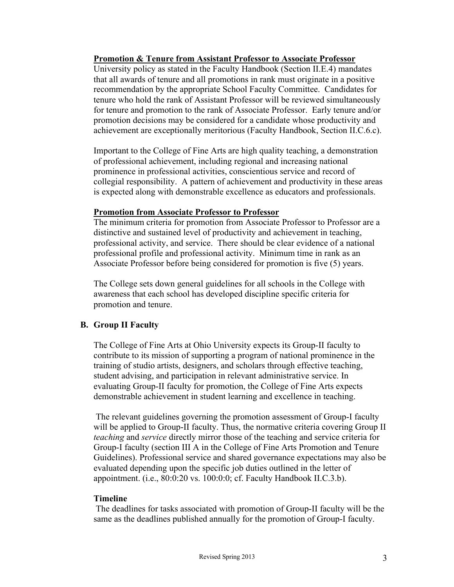#### **Promotion & Tenure from Assistant Professor to Associate Professor**

University policy as stated in the Faculty Handbook (Section II.E.4) mandates that all awards of tenure and all promotions in rank must originate in a positive recommendation by the appropriate School Faculty Committee. Candidates for tenure who hold the rank of Assistant Professor will be reviewed simultaneously for tenure and promotion to the rank of Associate Professor. Early tenure and/or promotion decisions may be considered for a candidate whose productivity and achievement are exceptionally meritorious (Faculty Handbook, Section II.C.6.c).

Important to the College of Fine Arts are high quality teaching, a demonstration of professional achievement, including regional and increasing national prominence in professional activities, conscientious service and record of collegial responsibility. A pattern of achievement and productivity in these areas is expected along with demonstrable excellence as educators and professionals.

#### **Promotion from Associate Professor to Professor**

The minimum criteria for promotion from Associate Professor to Professor are a distinctive and sustained level of productivity and achievement in teaching, professional activity, and service. There should be clear evidence of a national professional profile and professional activity. Minimum time in rank as an Associate Professor before being considered for promotion is five (5) years.

The College sets down general guidelines for all schools in the College with awareness that each school has developed discipline specific criteria for promotion and tenure.

# **B. Group II Faculty**

The College of Fine Arts at Ohio University expects its Group-II faculty to contribute to its mission of supporting a program of national prominence in the training of studio artists, designers, and scholars through effective teaching, student advising, and participation in relevant administrative service. In evaluating Group-II faculty for promotion, the College of Fine Arts expects demonstrable achievement in student learning and excellence in teaching.

The relevant guidelines governing the promotion assessment of Group-I faculty will be applied to Group-II faculty. Thus, the normative criteria covering Group II *teaching* and *service* directly mirror those of the teaching and service criteria for Group-I faculty (section III A in the College of Fine Arts Promotion and Tenure Guidelines). Professional service and shared governance expectations may also be evaluated depending upon the specific job duties outlined in the letter of appointment. (i.e., 80:0:20 vs. 100:0:0; cf. Faculty Handbook II.C.3.b).

# **Timeline**

The deadlines for tasks associated with promotion of Group-II faculty will be the same as the deadlines published annually for the promotion of Group-I faculty.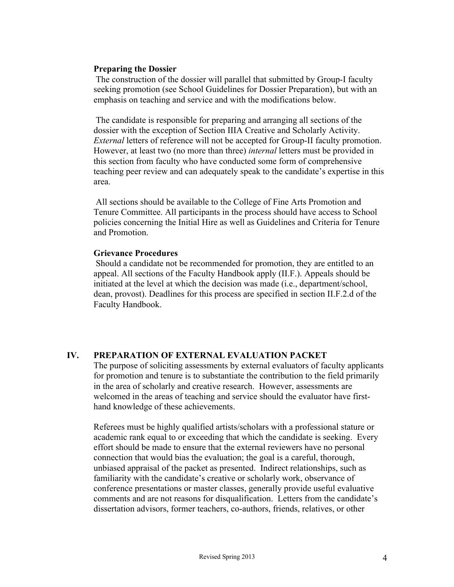#### **Preparing the Dossier**

The construction of the dossier will parallel that submitted by Group-I faculty seeking promotion (see School Guidelines for Dossier Preparation), but with an emphasis on teaching and service and with the modifications below.

The candidate is responsible for preparing and arranging all sections of the dossier with the exception of Section IIIA Creative and Scholarly Activity. *External* letters of reference will not be accepted for Group-II faculty promotion. However, at least two (no more than three) *internal* letters must be provided in this section from faculty who have conducted some form of comprehensive teaching peer review and can adequately speak to the candidate's expertise in this area.

All sections should be available to the College of Fine Arts Promotion and Tenure Committee. All participants in the process should have access to School policies concerning the Initial Hire as well as Guidelines and Criteria for Tenure and Promotion.

#### **Grievance Procedures**

Should a candidate not be recommended for promotion, they are entitled to an appeal. All sections of the Faculty Handbook apply (II.F.). Appeals should be initiated at the level at which the decision was made (i.e., department/school, dean, provost). Deadlines for this process are specified in section II.F.2.d of the Faculty Handbook.

#### **IV. PREPARATION OF EXTERNAL EVALUATION PACKET**

The purpose of soliciting assessments by external evaluators of faculty applicants for promotion and tenure is to substantiate the contribution to the field primarily in the area of scholarly and creative research. However, assessments are welcomed in the areas of teaching and service should the evaluator have firsthand knowledge of these achievements.

Referees must be highly qualified artists/scholars with a professional stature or academic rank equal to or exceeding that which the candidate is seeking. Every effort should be made to ensure that the external reviewers have no personal connection that would bias the evaluation; the goal is a careful, thorough, unbiased appraisal of the packet as presented. Indirect relationships, such as familiarity with the candidate's creative or scholarly work, observance of conference presentations or master classes, generally provide useful evaluative comments and are not reasons for disqualification. Letters from the candidate's dissertation advisors, former teachers, co-authors, friends, relatives, or other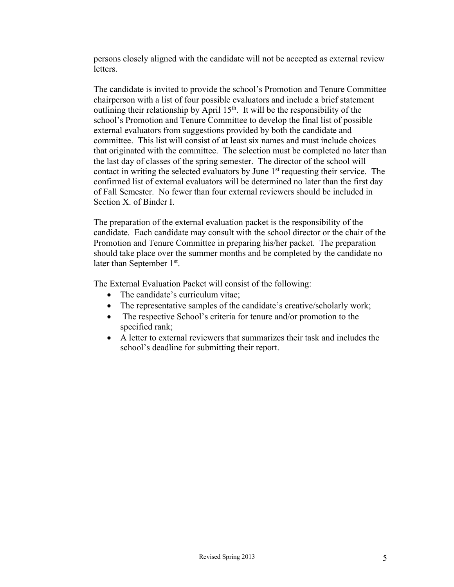persons closely aligned with the candidate will not be accepted as external review letters.

The candidate is invited to provide the school's Promotion and Tenure Committee chairperson with a list of four possible evaluators and include a brief statement outlining their relationship by April 15<sup>th</sup>. It will be the responsibility of the school's Promotion and Tenure Committee to develop the final list of possible external evaluators from suggestions provided by both the candidate and committee. This list will consist of at least six names and must include choices that originated with the committee. The selection must be completed no later than the last day of classes of the spring semester. The director of the school will contact in writing the selected evaluators by June 1<sup>st</sup> requesting their service. The confirmed list of external evaluators will be determined no later than the first day of Fall Semester. No fewer than four external reviewers should be included in Section X. of Binder I.

The preparation of the external evaluation packet is the responsibility of the candidate. Each candidate may consult with the school director or the chair of the Promotion and Tenure Committee in preparing his/her packet. The preparation should take place over the summer months and be completed by the candidate no later than September 1<sup>st</sup>.

The External Evaluation Packet will consist of the following:

- The candidate's curriculum vitae:
- The representative samples of the candidate's creative/scholarly work;
- The respective School's criteria for tenure and/or promotion to the specified rank;
- A letter to external reviewers that summarizes their task and includes the school's deadline for submitting their report.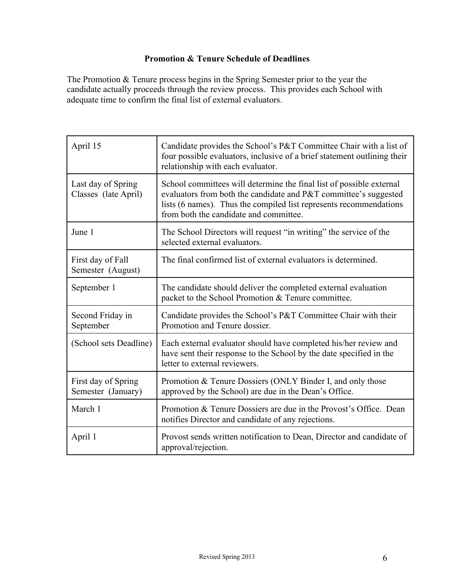# **Promotion & Tenure Schedule of Deadlines**

The Promotion & Tenure process begins in the Spring Semester prior to the year the candidate actually proceeds through the review process. This provides each School with adequate time to confirm the final list of external evaluators.

| April 15                                   | Candidate provides the School's P&T Committee Chair with a list of<br>four possible evaluators, inclusive of a brief statement outlining their<br>relationship with each evaluator.                                                                      |
|--------------------------------------------|----------------------------------------------------------------------------------------------------------------------------------------------------------------------------------------------------------------------------------------------------------|
| Last day of Spring<br>Classes (late April) | School committees will determine the final list of possible external<br>evaluators from both the candidate and P&T committee's suggested<br>lists (6 names). Thus the compiled list represents recommendations<br>from both the candidate and committee. |
| June 1                                     | The School Directors will request "in writing" the service of the<br>selected external evaluators.                                                                                                                                                       |
| First day of Fall<br>Semester (August)     | The final confirmed list of external evaluators is determined.                                                                                                                                                                                           |
| September 1                                | The candidate should deliver the completed external evaluation<br>packet to the School Promotion & Tenure committee.                                                                                                                                     |
| Second Friday in<br>September              | Candidate provides the School's P&T Committee Chair with their<br>Promotion and Tenure dossier.                                                                                                                                                          |
| (School sets Deadline)                     | Each external evaluator should have completed his/her review and<br>have sent their response to the School by the date specified in the<br>letter to external reviewers.                                                                                 |
| First day of Spring<br>Semester (January)  | Promotion & Tenure Dossiers (ONLY Binder I, and only those<br>approved by the School) are due in the Dean's Office.                                                                                                                                      |
| March 1                                    | Promotion & Tenure Dossiers are due in the Provost's Office. Dean<br>notifies Director and candidate of any rejections.                                                                                                                                  |
| April 1                                    | Provost sends written notification to Dean, Director and candidate of<br>approval/rejection.                                                                                                                                                             |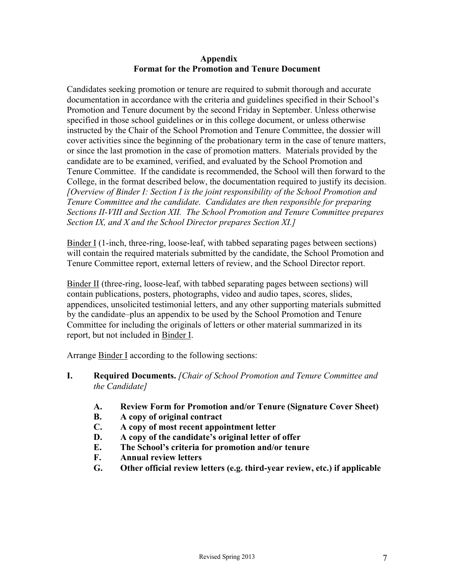#### **Appendix Format for the Promotion and Tenure Document**

Candidates seeking promotion or tenure are required to submit thorough and accurate documentation in accordance with the criteria and guidelines specified in their School's Promotion and Tenure document by the second Friday in September. Unless otherwise specified in those school guidelines or in this college document, or unless otherwise instructed by the Chair of the School Promotion and Tenure Committee, the dossier will cover activities since the beginning of the probationary term in the case of tenure matters, or since the last promotion in the case of promotion matters. Materials provided by the candidate are to be examined, verified, and evaluated by the School Promotion and Tenure Committee. If the candidate is recommended, the School will then forward to the College, in the format described below, the documentation required to justify its decision. *[Overview of Binder I: Section I is the joint responsibility of the School Promotion and Tenure Committee and the candidate. Candidates are then responsible for preparing Sections II-VIII and Section XII. The School Promotion and Tenure Committee prepares Section IX, and X and the School Director prepares Section XI.]*

Binder I (1-inch, three-ring, loose-leaf, with tabbed separating pages between sections) will contain the required materials submitted by the candidate, the School Promotion and Tenure Committee report, external letters of review, and the School Director report.

Binder II (three-ring, loose-leaf, with tabbed separating pages between sections) will contain publications, posters, photographs, video and audio tapes, scores, slides, appendices, unsolicited testimonial letters, and any other supporting materials submitted by the candidate–plus an appendix to be used by the School Promotion and Tenure Committee for including the originals of letters or other material summarized in its report, but not included in Binder I.

Arrange Binder I according to the following sections:

- **I. Required Documents.** *[Chair of School Promotion and Tenure Committee and the Candidate]*
	- **A. Review Form for Promotion and/or Tenure (Signature Cover Sheet)**
	- **B. A copy of original contract**
	- **C. A copy of most recent appointment letter**
	- **D. A copy of the candidate's original letter of offer**
	- **E. The School's criteria for promotion and/or tenure**
	- **F. Annual review letters**
	- **G. Other official review letters (e.g. third-year review, etc.) if applicable**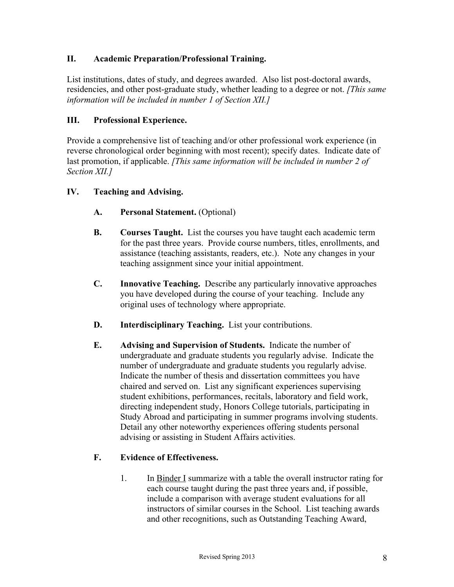# **II. Academic Preparation/Professional Training.**

List institutions, dates of study, and degrees awarded. Also list post-doctoral awards, residencies, and other post-graduate study, whether leading to a degree or not. *[This same information will be included in number 1 of Section XII.]*

# **III. Professional Experience.**

Provide a comprehensive list of teaching and/or other professional work experience (in reverse chronological order beginning with most recent); specify dates. Indicate date of last promotion, if applicable. *[This same information will be included in number 2 of Section XII.]*

#### **IV. Teaching and Advising.**

- **A. Personal Statement.** (Optional)
- **B. Courses Taught.** List the courses you have taught each academic term for the past three years. Provide course numbers, titles, enrollments, and assistance (teaching assistants, readers, etc.). Note any changes in your teaching assignment since your initial appointment.
- **C. Innovative Teaching.** Describe any particularly innovative approaches you have developed during the course of your teaching. Include any original uses of technology where appropriate.
- **D. Interdisciplinary Teaching.** List your contributions.
- **E. Advising and Supervision of Students.** Indicate the number of undergraduate and graduate students you regularly advise. Indicate the number of undergraduate and graduate students you regularly advise. Indicate the number of thesis and dissertation committees you have chaired and served on. List any significant experiences supervising student exhibitions, performances, recitals, laboratory and field work, directing independent study, Honors College tutorials, participating in Study Abroad and participating in summer programs involving students. Detail any other noteworthy experiences offering students personal advising or assisting in Student Affairs activities.

#### **F. Evidence of Effectiveness.**

1. In Binder I summarize with a table the overall instructor rating for each course taught during the past three years and, if possible, include a comparison with average student evaluations for all instructors of similar courses in the School. List teaching awards and other recognitions, such as Outstanding Teaching Award,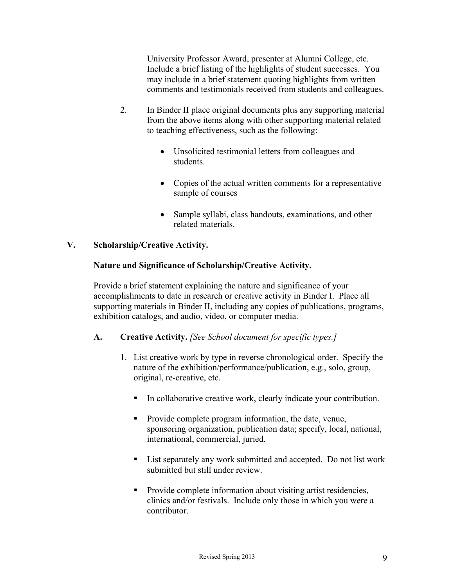University Professor Award, presenter at Alumni College, etc. Include a brief listing of the highlights of student successes. You may include in a brief statement quoting highlights from written comments and testimonials received from students and colleagues.

- 2. In Binder II place original documents plus any supporting material from the above items along with other supporting material related to teaching effectiveness, such as the following:
	- Unsolicited testimonial letters from colleagues and students.
	- Copies of the actual written comments for a representative sample of courses
	- Sample syllabi, class handouts, examinations, and other related materials.

# **V. Scholarship/Creative Activity.**

#### **Nature and Significance of Scholarship/Creative Activity.**

Provide a brief statement explaining the nature and significance of your accomplishments to date in research or creative activity in Binder I. Place all supporting materials in Binder II, including any copies of publications, programs, exhibition catalogs, and audio, video, or computer media.

# **A. Creative Activity.** *[See School document for specific types.]*

- 1. List creative work by type in reverse chronological order. Specify the nature of the exhibition/performance/publication, e.g., solo, group, original, re-creative, etc.
	- In collaborative creative work, clearly indicate your contribution.
	- Provide complete program information, the date, venue, sponsoring organization, publication data; specify, local, national, international, commercial, juried.
	- List separately any work submitted and accepted. Do not list work submitted but still under review.
	- Provide complete information about visiting artist residencies, clinics and/or festivals. Include only those in which you were a contributor.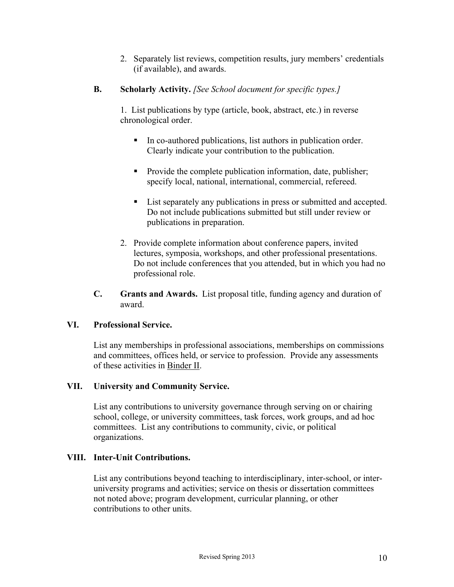2. Separately list reviews, competition results, jury members' credentials (if available), and awards.

# **B. Scholarly Activity.** *[See School document for specific types.]*

1. List publications by type (article, book, abstract, etc.) in reverse chronological order.

- In co-authored publications, list authors in publication order. Clearly indicate your contribution to the publication.
- Provide the complete publication information, date, publisher; specify local, national, international, commercial, refereed.
- List separately any publications in press or submitted and accepted. Do not include publications submitted but still under review or publications in preparation.
- 2. Provide complete information about conference papers, invited lectures, symposia, workshops, and other professional presentations. Do not include conferences that you attended, but in which you had no professional role.
- **C. Grants and Awards.** List proposal title, funding agency and duration of award.

# **VI. Professional Service.**

List any memberships in professional associations, memberships on commissions and committees, offices held, or service to profession. Provide any assessments of these activities in Binder II.

# **VII. University and Community Service.**

List any contributions to university governance through serving on or chairing school, college, or university committees, task forces, work groups, and ad hoc committees. List any contributions to community, civic, or political organizations.

# **VIII. Inter-Unit Contributions.**

List any contributions beyond teaching to interdisciplinary, inter-school, or interuniversity programs and activities; service on thesis or dissertation committees not noted above; program development, curricular planning, or other contributions to other units.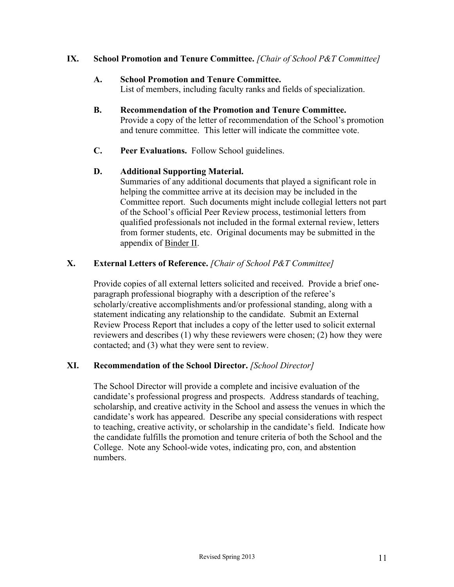### **IX. School Promotion and Tenure Committee.** *[Chair of School P&T Committee]*

#### **A. School Promotion and Tenure Committee.**

List of members, including faculty ranks and fields of specialization.

- **B. Recommendation of the Promotion and Tenure Committee.** Provide a copy of the letter of recommendation of the School's promotion and tenure committee. This letter will indicate the committee vote.
- **C. Peer Evaluations.** Follow School guidelines.

#### **D. Additional Supporting Material.**

Summaries of any additional documents that played a significant role in helping the committee arrive at its decision may be included in the Committee report. Such documents might include collegial letters not part of the School's official Peer Review process, testimonial letters from qualified professionals not included in the formal external review, letters from former students, etc. Original documents may be submitted in the appendix of Binder II.

# **X. External Letters of Reference.** *[Chair of School P&T Committee]*

Provide copies of all external letters solicited and received. Provide a brief oneparagraph professional biography with a description of the referee's scholarly/creative accomplishments and/or professional standing, along with a statement indicating any relationship to the candidate. Submit an External Review Process Report that includes a copy of the letter used to solicit external reviewers and describes (1) why these reviewers were chosen; (2) how they were contacted; and (3) what they were sent to review.

# **XI. Recommendation of the School Director.** *[School Director]*

The School Director will provide a complete and incisive evaluation of the candidate's professional progress and prospects. Address standards of teaching, scholarship, and creative activity in the School and assess the venues in which the candidate's work has appeared. Describe any special considerations with respect to teaching, creative activity, or scholarship in the candidate's field. Indicate how the candidate fulfills the promotion and tenure criteria of both the School and the College. Note any School-wide votes, indicating pro, con, and abstention numbers.